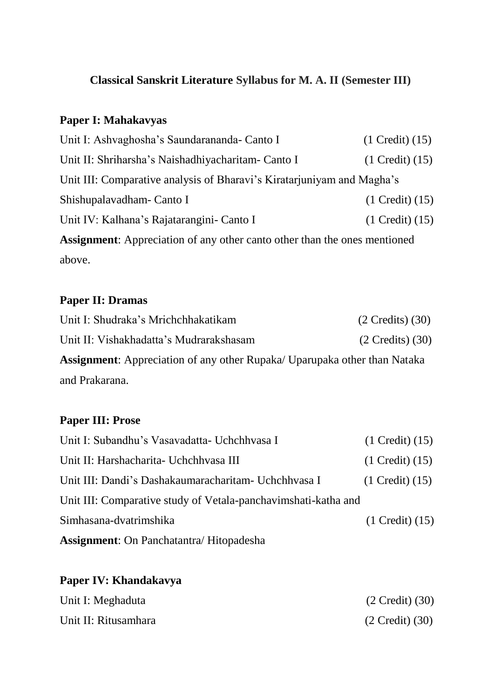# **Classical Sanskrit Literature Syllabus for M. A. II (Semester III)**

# **Paper I: Mahakavyas**

| Unit I: Ashvaghosha's Saundarananda- Canto I                                     | $(1$ Credit $)(15)$ |  |
|----------------------------------------------------------------------------------|---------------------|--|
| Unit II: Shriharsha's Naishadhiyacharitam- Canto I                               | $(1$ Credit $)(15)$ |  |
| Unit III: Comparative analysis of Bharavi's Kiratarjuniyam and Magha's           |                     |  |
| Shishupalavadham - Canto I                                                       | $(1$ Credit $)(15)$ |  |
| Unit IV: Kalhana's Rajatarangini- Canto I                                        | $(1$ Credit $)(15)$ |  |
| <b>Assignment:</b> Appreciation of any other canto other than the ones mentioned |                     |  |
| above.                                                                           |                     |  |

# **Paper II: Dramas**

| Unit I: Shudraka's Mrichchhakatikam                                              | $(2 \text{ Credits})$ $(30)$ |
|----------------------------------------------------------------------------------|------------------------------|
| Unit II: Vishakhadatta's Mudrarakshasam                                          | $(2$ Credits) $(30)$         |
| <b>Assignment:</b> Appreciation of any other Rupaka/ Uparupaka other than Nataka |                              |
| and Prakarana.                                                                   |                              |

### **Paper III: Prose**

| <b>Assignment:</b> On Panchatantra/Hitopadesha                 |                           |
|----------------------------------------------------------------|---------------------------|
| Simhasana-dvatrimshika                                         | $(1$ Credit $)(15)$       |
| Unit III: Comparative study of Vetala-panchavimshati-katha and |                           |
| Unit III: Dandi's Dashakaumaracharitam - Uchchhvasa I          | $(1 \text{ Credit}) (15)$ |
| Unit II: Harshacharita- Uchchhvasa III                         | $(1$ Credit $)(15)$       |
| Unit I: Subandhu's Vasavadatta- Uchchhvasa I                   | $(1$ Credit $)(15)$       |

# **Paper IV: Khandakavya**

| Unit I: Meghaduta    | $(2 \text{ Credit}) (30)$ |
|----------------------|---------------------------|
| Unit II: Ritusamhara | $(2 \text{ Credit}) (30)$ |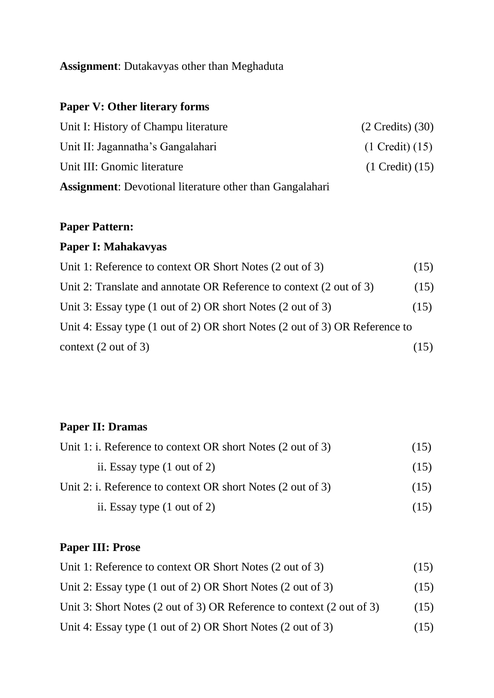#### **Assignment**: Dutakavyas other than Meghaduta

# **Paper V: Other literary forms**

| Unit I: History of Champu literature                            | $(2$ Credits) $(30)$      |
|-----------------------------------------------------------------|---------------------------|
| Unit II: Jagannatha's Gangalahari                               | $(1 \text{ Credit}) (15)$ |
| Unit III: Gnomic literature                                     | $(1$ Credit $)(15)$       |
| <b>Assignment:</b> Devotional literature other than Gangalahari |                           |

### **Paper Pattern:**

### **Paper I: Mahakavyas**

| Unit 1: Reference to context OR Short Notes (2 out of 3)                    | (15) |
|-----------------------------------------------------------------------------|------|
| Unit 2: Translate and annotate OR Reference to context (2 out of 3)         | (15) |
| Unit 3: Essay type (1 out of 2) OR short Notes (2 out of 3)                 | (15) |
| Unit 4: Essay type (1 out of 2) OR short Notes (2 out of 3) OR Reference to |      |
| context $(2 \text{ out of } 3)$                                             | (15) |

### **Paper II: Dramas**

| Unit 1: i. Reference to context OR short Notes (2 out of 3) | (15) |
|-------------------------------------------------------------|------|
| ii. Essay type $(1 \text{ out of } 2)$                      | (15) |
| Unit 2: i. Reference to context OR short Notes (2 out of 3) | (15) |
| ii. Essay type $(1 \text{ out of } 2)$                      | (15) |

### **Paper III: Prose**

| Unit 1: Reference to context OR Short Notes (2 out of 3)              | (15) |
|-----------------------------------------------------------------------|------|
| Unit 2: Essay type (1 out of 2) OR Short Notes (2 out of 3)           | (15) |
| Unit 3: Short Notes (2 out of 3) OR Reference to context (2 out of 3) | (15) |
| Unit 4: Essay type (1 out of 2) OR Short Notes (2 out of 3)           | (15) |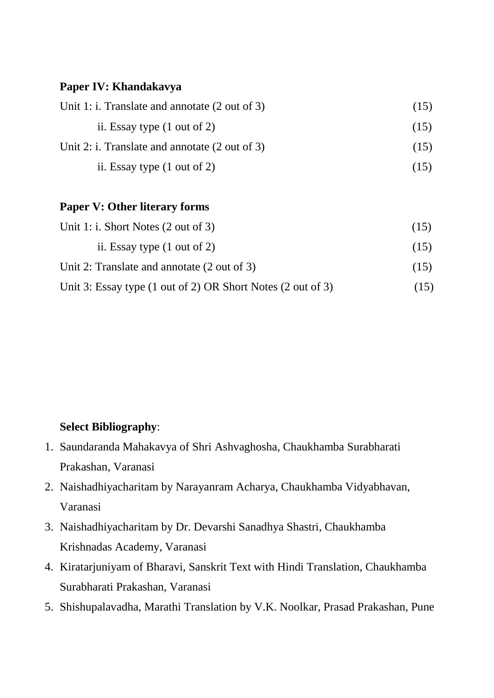#### **Paper IV: Khandakavya**

| Unit 1: i. Translate and annotate $(2 \text{ out of } 3)$ | (15) |
|-----------------------------------------------------------|------|
| ii. Essay type $(1 \text{ out of } 2)$                    | (15) |
| Unit 2: i. Translate and annotate $(2 \text{ out of } 3)$ | (15) |
| ii. Essay type $(1 \text{ out of } 2)$                    | (15) |

#### **Paper V: Other literary forms**

| Unit 1: i. Short Notes $(2 \text{ out of } 3)$              | (15) |
|-------------------------------------------------------------|------|
| ii. Essay type $(1 \text{ out of } 2)$                      | (15) |
| Unit 2: Translate and annotate $(2 \text{ out of } 3)$      | (15) |
| Unit 3: Essay type (1 out of 2) OR Short Notes (2 out of 3) | (15) |

#### **Select Bibliography**:

- 1. Saundaranda Mahakavya of Shri Ashvaghosha, Chaukhamba Surabharati Prakashan, Varanasi
- 2. Naishadhiyacharitam by Narayanram Acharya, Chaukhamba Vidyabhavan, Varanasi
- 3. Naishadhiyacharitam by Dr. Devarshi Sanadhya Shastri, Chaukhamba Krishnadas Academy, Varanasi
- 4. Kiratarjuniyam of Bharavi, Sanskrit Text with Hindi Translation, Chaukhamba Surabharati Prakashan, Varanasi
- 5. Shishupalavadha, Marathi Translation by V.K. Noolkar, Prasad Prakashan, Pune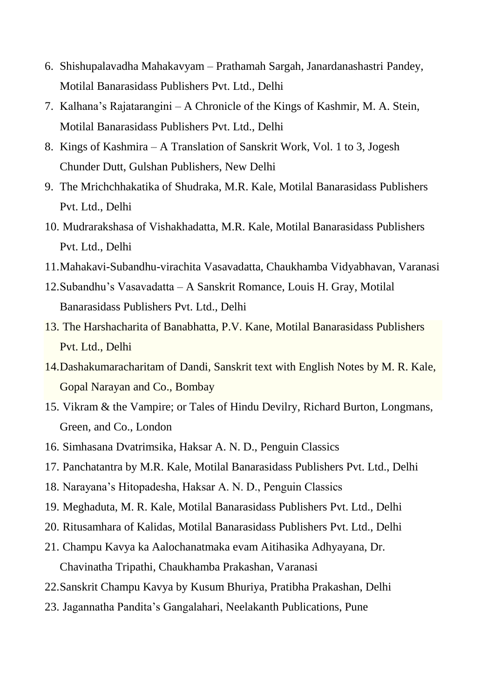- 6. Shishupalavadha Mahakavyam Prathamah Sargah, Janardanashastri Pandey, Motilal Banarasidass Publishers Pvt. Ltd., Delhi
- 7. Kalhana's Rajatarangini A Chronicle of the Kings of Kashmir, M. A. Stein, Motilal Banarasidass Publishers Pvt. Ltd., Delhi
- 8. Kings of Kashmira A Translation of Sanskrit Work, Vol. 1 to 3, Jogesh Chunder Dutt, Gulshan Publishers, New Delhi
- 9. The Mrichchhakatika of Shudraka, M.R. Kale, Motilal Banarasidass Publishers Pvt. Ltd., Delhi
- 10. Mudrarakshasa of Vishakhadatta, M.R. Kale, Motilal Banarasidass Publishers Pvt. Ltd., Delhi
- 11.Mahakavi-Subandhu-virachita Vasavadatta, Chaukhamba Vidyabhavan, Varanasi
- 12.Subandhu's Vasavadatta A Sanskrit Romance, Louis H. Gray, Motilal Banarasidass Publishers Pvt. Ltd., Delhi
- 13. The Harshacharita of Banabhatta, P.V. Kane, Motilal Banarasidass Publishers Pvt. Ltd., Delhi
- 14.Dashakumaracharitam of Dandi, Sanskrit text with English Notes by M. R. Kale, Gopal Narayan and Co., Bombay
- 15. [Vikram & the Vampire; or Tales of Hindu Devilry,](https://archive.org/stream/cu31924024159760#page/n11/mode/2up) Richard Burton, Longmans, Green, and Co., London
- 16. Simhasana Dvatrimsika, Haksar A. N. D., Penguin Classics
- 17. Panchatantra by M.R. Kale, Motilal Banarasidass Publishers Pvt. Ltd., Delhi
- 18. Narayana's Hitopadesha, Haksar A. N. D., Penguin Classics
- 19. Meghaduta, M. R. Kale, Motilal Banarasidass Publishers Pvt. Ltd., Delhi
- 20. Ritusamhara of Kalidas, Motilal Banarasidass Publishers Pvt. Ltd., Delhi
- 21. Champu Kavya ka Aalochanatmaka evam Aitihasika Adhyayana, Dr. Chavinatha Tripathi, Chaukhamba Prakashan, Varanasi
- 22.Sanskrit Champu Kavya by Kusum Bhuriya, Pratibha Prakashan, Delhi
- 23. Jagannatha Pandita's Gangalahari, Neelakanth Publications, Pune